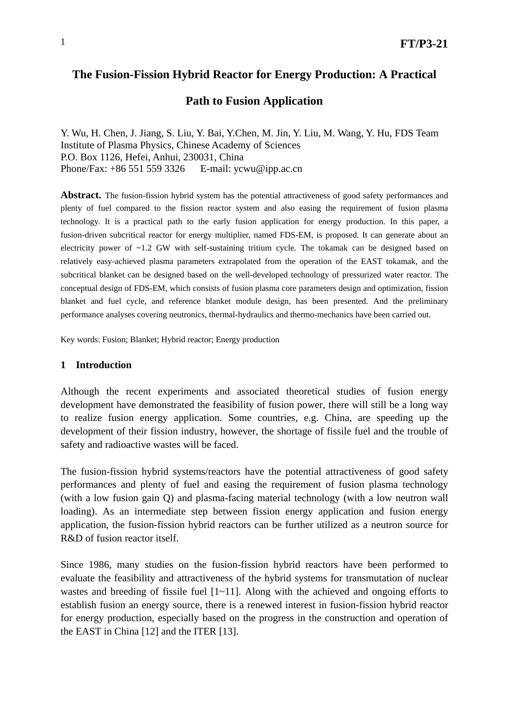## **The Fusion-Fission Hybrid Reactor for Energy Production: A Practical**

## **Path to Fusion Application**

Y. Wu, H. Chen, J. Jiang, S. Liu, Y. Bai, Y.Chen, M. Jin, Y. Liu, M. Wang, Y. Hu, FDS Team Institute of Plasma Physics, Chinese Academy of Sciences P.O. Box 1126, Hefei, Anhui, 230031, China Phone/Fax: +86 551 559 3326 E-mail: ycwu@ipp.ac.cn

**Abstract.** The fusion-fission hybrid system has the potential attractiveness of good safety performances and plenty of fuel compared to the fission reactor system and also easing the requirement of fusion plasma technology. It is a practical path to the early fusion application for energy production. In this paper, a fusion-driven subcritical reactor for energy multiplier, named FDS-EM, is proposed. It can generate about an electricity power of ~1.2 GW with self-sustaining tritium cycle. The tokamak can be designed based on relatively easy-achieved plasma parameters extrapolated from the operation of the EAST tokamak, and the subcritical blanket can be designed based on the well-developed technology of pressurized water reactor. The conceptual design of FDS-EM, which consists of fusion plasma core parameters design and optimization, fission blanket and fuel cycle, and reference blanket module design, has been presented. And the preliminary performance analyses covering neutronics, thermal-hydraulics and thermo-mechanics have been carried out.

Key words: Fusion; Blanket; Hybrid reactor; Energy production

#### **1 Introduction**

Although the recent experiments and associated theoretical studies of fusion energy development have demonstrated the feasibility of fusion power, there will still be a long way to realize fusion energy application. Some countries, e.g. China, are speeding up the development of their fission industry, however, the shortage of fissile fuel and the trouble of safety and radioactive wastes will be faced.

The fusion-fission hybrid systems/reactors have the potential attractiveness of good safety performances and plenty of fuel and easing the requirement of fusion plasma technology (with a low fusion gain Q) and plasma-facing material technology (with a low neutron wall loading). As an intermediate step between fission energy application and fusion energy application, the fusion-fission hybrid reactors can be further utilized as a neutron source for R&D of fusion reactor itself.

Since 1986, many studies on the fusion-fission hybrid reactors have been performed to evaluate the feasibility and attractiveness of the hybrid systems for transmutation of nuclear wastes and breeding of fissile fuel [1~11]. Along with the achieved and ongoing efforts to establish fusion an energy source, there is a renewed interest in fusion-fission hybrid reactor for energy production, especially based on the progress in the construction and operation of the EAST in China [12] and the ITER [13].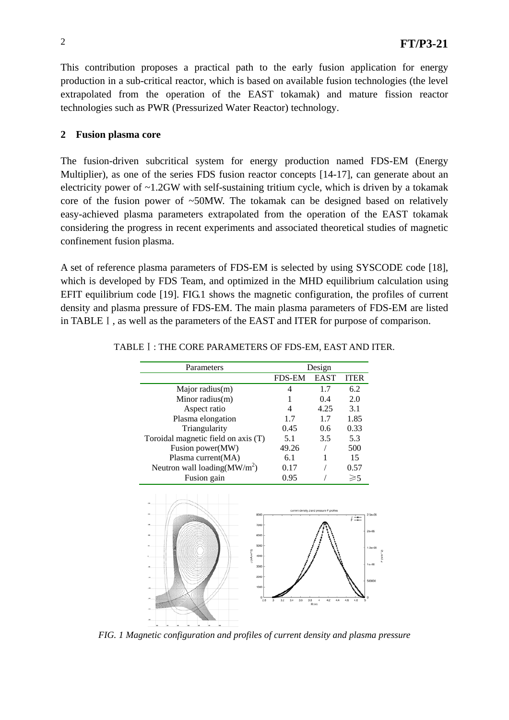This contribution proposes a practical path to the early fusion application for energy production in a sub-critical reactor, which is based on available fusion technologies (the level extrapolated from the operation of the EAST tokamak) and mature fission reactor technologies such as PWR (Pressurized Water Reactor) technology.

## **2 Fusion plasma core**

The fusion-driven subcritical system for energy production named FDS-EM (Energy Multiplier), as one of the series FDS fusion reactor concepts [14-17], can generate about an electricity power of  $\sim$ 1.2GW with self-sustaining tritium cycle, which is driven by a tokamak core of the fusion power of  $\sim$ 50MW. The tokamak can be designed based on relatively easy-achieved plasma parameters extrapolated from the operation of the EAST tokamak considering the progress in recent experiments and associated theoretical studies of magnetic confinement fusion plasma.

A set of reference plasma parameters of FDS-EM is selected by using SYSCODE code [18], which is developed by FDS Team, and optimized in the MHD equilibrium calculation using EFIT equilibrium code [19]. FIG.1 shows the magnetic configuration, the profiles of current density and plasma pressure of FDS-EM. The main plasma parameters of FDS-EM are listed in TABLEⅠ, as well as the parameters of the EAST and ITER for purpose of comparison.

|                                                                                                 | Parameters<br>Design |                                                                        |                                                                                  |
|-------------------------------------------------------------------------------------------------|----------------------|------------------------------------------------------------------------|----------------------------------------------------------------------------------|
|                                                                                                 | <b>FDS-EM</b>        | <b>EAST</b>                                                            | <b>ITER</b>                                                                      |
| Major radius(m)                                                                                 | 4                    | 1.7                                                                    | 6.2                                                                              |
| Minor radius(m)                                                                                 |                      | 0.4                                                                    | 2.0                                                                              |
| Aspect ratio                                                                                    | 4                    | 4.25                                                                   | 3.1                                                                              |
| Plasma elongation                                                                               | 1.7                  | 1.7                                                                    | 1.85                                                                             |
| Triangularity                                                                                   | 0.45                 | 0.6                                                                    | 0.33                                                                             |
| Toroidal magnetic field on axis (T)                                                             | 5.1                  | 3.5                                                                    | 5.3                                                                              |
| Fusion power(MW)                                                                                | 49.26                |                                                                        | 500                                                                              |
| Plasma current(MA)                                                                              | 6.1                  |                                                                        | 15                                                                               |
| Neutron wall loading $(MW/m^2)$                                                                 | 0.17                 |                                                                        | 0.57                                                                             |
| Fusion gain                                                                                     | 0.95                 |                                                                        | $\geqslant$ 5                                                                    |
| 8000<br>7000<br>6000<br>5000<br>J (kA/m <sup>--</sup> 2)<br>4000<br>3000<br>2000<br>1000<br>2.8 | 3.6<br>3.2<br>3.4    | current density J and pressure P profiles<br>3.8<br>4.2<br>4,4<br>R(m) | $2.50 - 06$<br>↓≒<br>$2e + 06$<br>$1.5e + 06$<br>$10*06$<br>500000<br>4.6<br>4.8 |

 $(2.400)$ 

#### TABLEⅠ: THE CORE PARAMETERS OF FDS-EM, EAST AND ITER.

*FIG. 1 Magnetic configuration and profiles of current density and plasma pressure*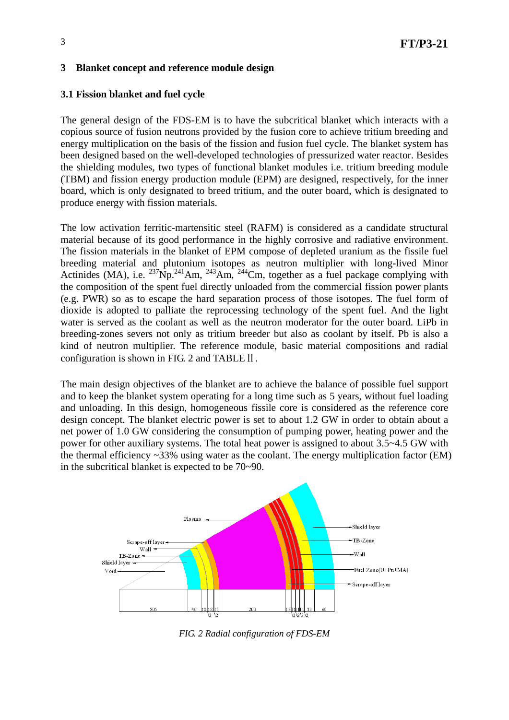## **3 Blanket concept and reference module design**

## **3.1 Fission blanket and fuel cycle**

The general design of the FDS-EM is to have the subcritical blanket which interacts with a copious source of fusion neutrons provided by the fusion core to achieve tritium breeding and energy multiplication on the basis of the fission and fusion fuel cycle. The blanket system has been designed based on the well-developed technologies of pressurized water reactor. Besides the shielding modules, two types of functional blanket modules i.e. tritium breeding module (TBM) and fission energy production module (EPM) are designed, respectively, for the inner board, which is only designated to breed tritium, and the outer board, which is designated to produce energy with fission materials.

The low activation ferritic-martensitic steel (RAFM) is considered as a candidate structural material because of its good performance in the highly corrosive and radiative environment. The fission materials in the blanket of EPM compose of depleted uranium as the fissile fuel breeding material and plutonium isotopes as neutron multiplier with long-lived Minor Actinides (MA), i.e.  $^{237}$ Np.<sup>241</sup>Am,  $^{243}$ Am,  $^{244}$ Cm, together as a fuel package complying with the composition of the spent fuel directly unloaded from the commercial fission power plants (e.g. PWR) so as to escape the hard separation process of those isotopes. The fuel form of dioxide is adopted to palliate the reprocessing technology of the spent fuel. And the light water is served as the coolant as well as the neutron moderator for the outer board. LiPb in breeding-zones severs not only as tritium breeder but also as coolant by itself. Pb is also a kind of neutron multiplier. The reference module, basic material compositions and radial configuration is shown in FIG. 2 and TABLEⅡ.

The main design objectives of the blanket are to achieve the balance of possible fuel support and to keep the blanket system operating for a long time such as 5 years, without fuel loading and unloading. In this design, homogeneous fissile core is considered as the reference core design concept. The blanket electric power is set to about 1.2 GW in order to obtain about a net power of 1.0 GW considering the consumption of pumping power, heating power and the power for other auxiliary systems. The total heat power is assigned to about 3.5~4.5 GW with the thermal efficiency  $\sim$ 33% using water as the coolant. The energy multiplication factor (EM) in the subcritical blanket is expected to be 70~90.



*FIG. 2 Radial configuration of FDS-EM*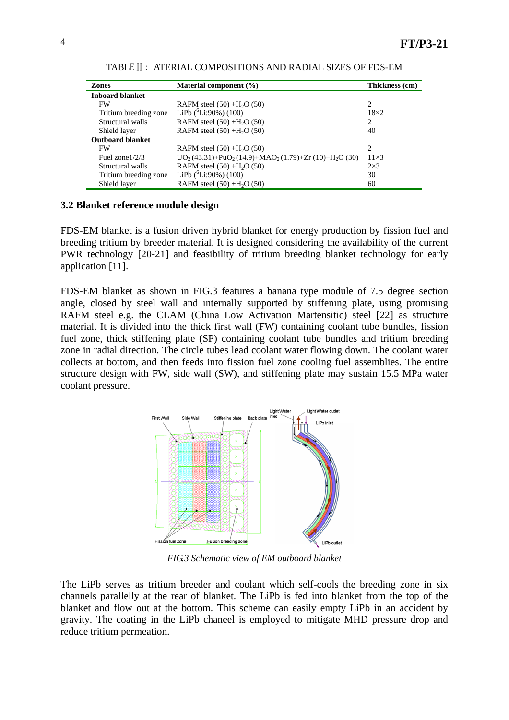| <b>Zones</b>            | Material component $(\%)$                         | Thickness (cm) |
|-------------------------|---------------------------------------------------|----------------|
| <b>Inboard blanket</b>  |                                                   |                |
| <b>FW</b>               | RAFM steel $(50) + H2O (50)$                      | 2              |
| Tritium breeding zone   | LiPb $(^{6}$ Li:90%) (100)                        | $18\times2$    |
| Structural walls        | RAFM steel $(50) + H2O (50)$                      | 2              |
| Shield layer            | RAFM steel $(50) + H2O (50)$                      | 40             |
| <b>Outboard blanket</b> |                                                   |                |
| <b>FW</b>               | RAFM steel $(50) + H2O (50)$                      | 2              |
| Fuel zone $1/2/3$       | $UO2(43.31)+PuO2(14.9)+MAO2(1.79)+Zr(10)+H2O(30)$ | $11\times3$    |
| Structural walls        | RAFM steel $(50) + H2O (50)$                      | $2\times3$     |
| Tritium breeding zone   | LiPb $(^{6}Li:90\%)$ (100)                        | 30             |
| Shield layer            | RAFM steel $(50) + H2O (50)$                      | 60             |

TABLEⅡ: ATERIAL COMPOSITIONS AND RADIAL SIZES OF FDS-EM

#### **3.2 Blanket reference module design**

FDS-EM blanket is a fusion driven hybrid blanket for energy production by fission fuel and breeding tritium by breeder material. It is designed considering the availability of the current PWR technology [20-21] and feasibility of tritium breeding blanket technology for early application [11].

FDS-EM blanket as shown in FIG.3 features a banana type module of 7.5 degree section angle, closed by steel wall and internally supported by stiffening plate, using promising RAFM steel e.g. the CLAM (China Low Activation Martensitic) steel [22] as structure material. It is divided into the thick first wall (FW) containing coolant tube bundles, fission fuel zone, thick stiffening plate (SP) containing coolant tube bundles and tritium breeding zone in radial direction. The circle tubes lead coolant water flowing down. The coolant water collects at bottom, and then feeds into fission fuel zone cooling fuel assemblies. The entire structure design with FW, side wall (SW), and stiffening plate may sustain 15.5 MPa water coolant pressure.



*FIG.3 Schematic view of EM outboard blanket* 

The LiPb serves as tritium breeder and coolant which self-cools the breeding zone in six channels parallelly at the rear of blanket. The LiPb is fed into blanket from the top of the blanket and flow out at the bottom. This scheme can easily empty LiPb in an accident by gravity. The coating in the LiPb chaneel is employed to mitigate MHD pressure drop and reduce tritium permeation.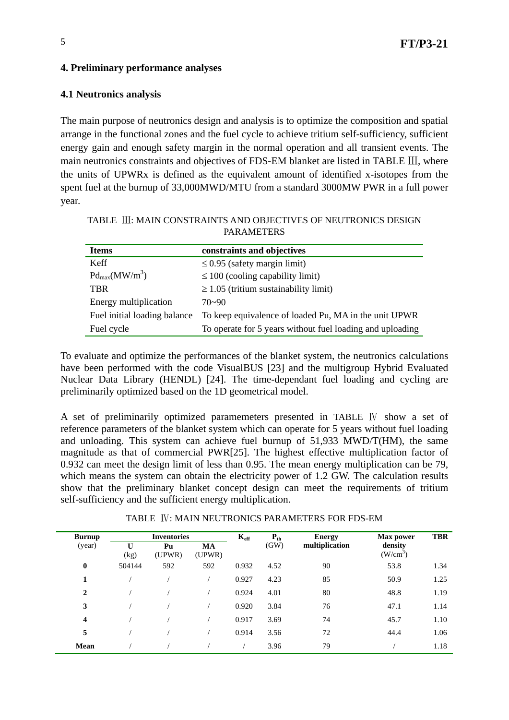# **4. Preliminary performance analyses**

# **4.1 Neutronics analysis**

The main purpose of neutronics design and analysis is to optimize the composition and spatial arrange in the functional zones and the fuel cycle to achieve tritium self-sufficiency, sufficient energy gain and enough safety margin in the normal operation and all transient events. The main neutronics constraints and objectives of FDS-EM blanket are listed in TABLE Ⅲ, where the units of UPWRx is defined as the equivalent amount of identified x-isotopes from the spent fuel at the burnup of 33,000MWD/MTU from a standard 3000MW PWR in a full power year.

| <b>Items</b>                 | constraints and objectives                                |
|------------------------------|-----------------------------------------------------------|
| <b>Keff</b>                  | $\leq$ 0.95 (safety margin limit)                         |
| $Pd_{max}(MW/m^3)$           | $\leq$ 100 (cooling capability limit)                     |
| <b>TBR</b>                   | $\geq 1.05$ (tritium sustainability limit)                |
| Energy multiplication        | 70~90                                                     |
| Fuel initial loading balance | To keep equivalence of loaded Pu, MA in the unit UPWR     |
| Fuel cycle                   | To operate for 5 years without fuel loading and uploading |

TABLE Ⅲ: MAIN CONSTRAINTS AND OBJECTIVES OF NEUTRONICS DESIGN PARAMETERS

To evaluate and optimize the performances of the blanket system, the neutronics calculations have been performed with the code VisualBUS [23] and the multigroup Hybrid Evaluated Nuclear Data Library (HENDL) [24]. The time-dependant fuel loading and cycling are preliminarily optimized based on the 1D geometrical model.

A set of preliminarily optimized paramemeters presented in TABLE Ⅳ show a set of reference parameters of the blanket system which can operate for 5 years without fuel loading and unloading. This system can achieve fuel burnup of 51,933 MWD/T(HM), the same magnitude as that of commercial PWR[25]. The highest effective multiplication factor of 0.932 can meet the design limit of less than 0.95. The mean energy multiplication can be 79, which means the system can obtain the electricity power of 1.2 GW. The calculation results show that the preliminary blanket concept design can meet the requirements of tritium self-sufficiency and the sufficient energy multiplication.

| <b>Burnup</b> | <b>Inventories</b>   |              | $K_{\text{eff}}$<br>$P_{th}$ |       | <b>Energy</b> | <b>TBR</b><br><b>Max power</b> |                       |      |
|---------------|----------------------|--------------|------------------------------|-------|---------------|--------------------------------|-----------------------|------|
| (year)        | $\mathbf{U}$<br>(kg) | Pu<br>(UPWR) | <b>MA</b><br>(UPWR)          |       | (GW)          | multiplication                 | density<br>$(W/cm^3)$ |      |
| $\bf{0}$      | 504144               | 592          | 592                          | 0.932 | 4.52          | 90                             | 53.8                  | 1.34 |
| 1             |                      |              |                              | 0.927 | 4.23          | 85                             | 50.9                  | 1.25 |
| $\mathbf{2}$  |                      |              |                              | 0.924 | 4.01          | 80                             | 48.8                  | 1.19 |
| 3             |                      |              |                              | 0.920 | 3.84          | 76                             | 47.1                  | 1.14 |
| 4             |                      |              |                              | 0.917 | 3.69          | 74                             | 45.7                  | 1.10 |
| 5             |                      |              |                              | 0.914 | 3.56          | 72                             | 44.4                  | 1.06 |
| Mean          |                      |              |                              |       | 3.96          | 79                             |                       | 1.18 |

TABLE Ⅳ: MAIN NEUTRONICS PARAMETERS FOR FDS-EM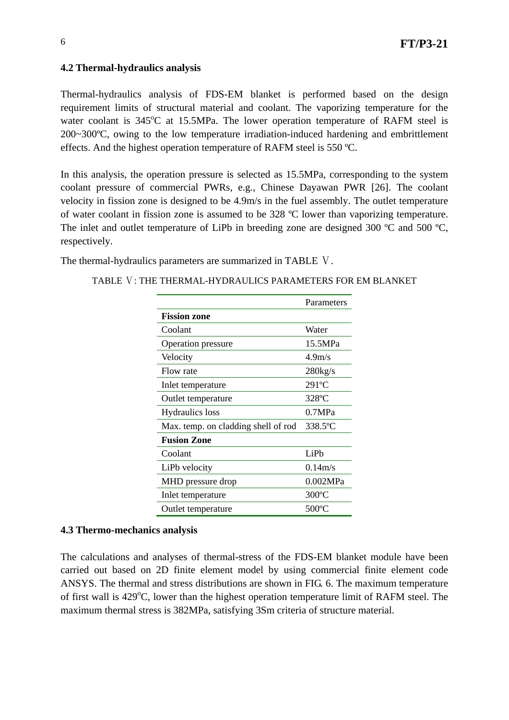# **4.2 Thermal-hydraulics analysis**

Thermal-hydraulics analysis of FDS-EM blanket is performed based on the design requirement limits of structural material and coolant. The vaporizing temperature for the water coolant is 345°C at 15.5MPa. The lower operation temperature of RAFM steel is 200~300ºC, owing to the low temperature irradiation-induced hardening and embrittlement effects. And the highest operation temperature of RAFM steel is 550 ºC.

In this analysis, the operation pressure is selected as 15.5MPa, corresponding to the system coolant pressure of commercial PWRs, e.g., Chinese Dayawan PWR [26]. The coolant velocity in fission zone is designed to be 4.9m/s in the fuel assembly. The outlet temperature of water coolant in fission zone is assumed to be 328 ºC lower than vaporizing temperature. The inlet and outlet temperature of LiPb in breeding zone are designed 300 °C and 500 °C. respectively.

The thermal-hydraulics parameters are summarized in TABLE Ⅴ.

TABLE V: THE THERMAL-HYDRAULICS PARAMETERS FOR EM BLANKET

|                                     | Parameters         |
|-------------------------------------|--------------------|
| <b>Fission zone</b>                 |                    |
| Coolant                             | Water              |
| Operation pressure                  | 15.5MPa            |
| Velocity                            | 4.9 <sub>m/s</sub> |
| Flow rate                           | $280$ kg/s         |
| Inlet temperature                   | $291^{\circ}$ C    |
| Outlet temperature                  | $328$ °C           |
| <b>Hydraulics</b> loss              | 0.7MPa             |
| Max. temp. on cladding shell of rod | 338.5°C            |
| <b>Fusion Zone</b>                  |                    |
| Coolant                             | LiPh               |
| LiPb velocity                       | 0.14m/s            |
| MHD pressure drop                   | 0.002MPa           |
| Inlet temperature                   | $300^{\circ}$ C    |
| Outlet temperature                  | 500°C              |

## **4.3 Thermo-mechanics analysis**

The calculations and analyses of thermal-stress of the FDS-EM blanket module have been carried out based on 2D finite element model by using commercial finite element code ANSYS. The thermal and stress distributions are shown in FIG. 6. The maximum temperature of first wall is 429°C, lower than the highest operation temperature limit of RAFM steel. The maximum thermal stress is 382MPa, satisfying 3Sm criteria of structure material.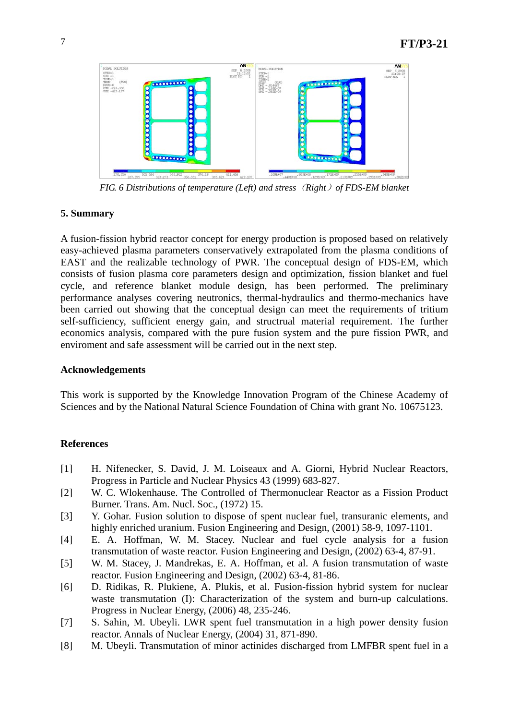

*FIG. 6 Distributions of temperature (Left) and stress*(*Right*)*of FDS-EM blanket* 

## **5. Summary**

A fusion-fission hybrid reactor concept for energy production is proposed based on relatively easy-achieved plasma parameters conservatively extrapolated from the plasma conditions of EAST and the realizable technology of PWR. The conceptual design of FDS-EM, which consists of fusion plasma core parameters design and optimization, fission blanket and fuel cycle, and reference blanket module design, has been performed. The preliminary performance analyses covering neutronics, thermal-hydraulics and thermo-mechanics have been carried out showing that the conceptual design can meet the requirements of tritium self-sufficiency, sufficient energy gain, and structrual material requirement. The further economics analysis, compared with the pure fusion system and the pure fission PWR, and enviroment and safe assessment will be carried out in the next step.

## **Acknowledgements**

This work is supported by the Knowledge Innovation Program of the Chinese Academy of Sciences and by the National Natural Science Foundation of China with grant No. 10675123.

## **References**

- [1] H. Nifenecker, S. David, J. M. Loiseaux and A. Giorni, Hybrid Nuclear Reactors, Progress in Particle and Nuclear Physics 43 (1999) 683-827.
- [2] W. C. Wlokenhause. The Controlled of Thermonuclear Reactor as a Fission Product Burner. Trans. Am. Nucl. Soc., (1972) 15.
- [3] Y. Gohar. Fusion solution to dispose of spent nuclear fuel, transuranic elements, and highly enriched uranium. Fusion Engineering and Design, (2001) 58-9, 1097-1101.
- [4] E. A. Hoffman, W. M. Stacey. Nuclear and fuel cycle analysis for a fusion transmutation of waste reactor. Fusion Engineering and Design, (2002) 63-4, 87-91.
- [5] W. M. Stacey, J. Mandrekas, E. A. Hoffman, et al. A fusion transmutation of waste reactor. Fusion Engineering and Design, (2002) 63-4, 81-86.
- [6] D. Ridikas, R. Plukiene, A. Plukis, et al. Fusion-fission hybrid system for nuclear waste transmutation (I): Characterization of the system and burn-up calculations. Progress in Nuclear Energy, (2006) 48, 235-246.
- [7] S. Sahin, M. Ubeyli. LWR spent fuel transmutation in a high power density fusion reactor. Annals of Nuclear Energy, (2004) 31, 871-890.
- [8] M. Ubeyli. Transmutation of minor actinides discharged from LMFBR spent fuel in a